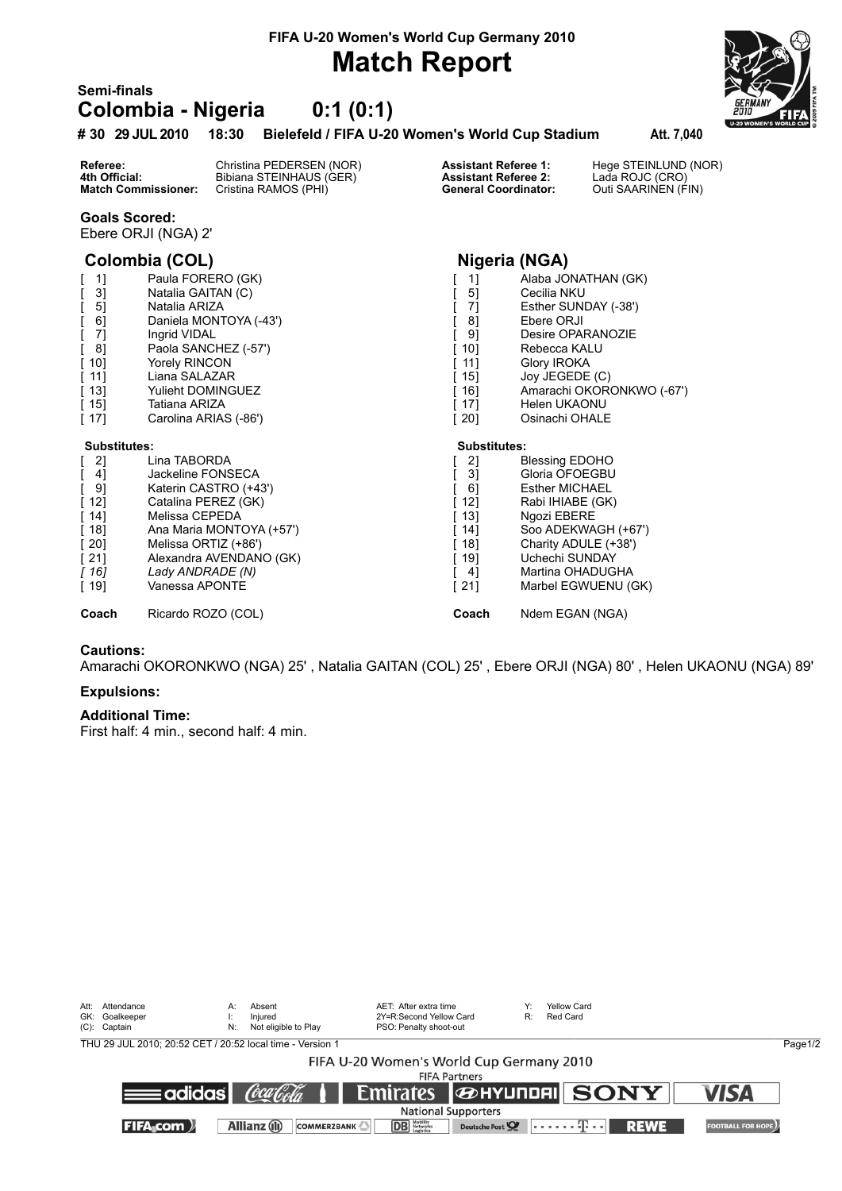### **FIFA U-20 Women's World Cup Germany 2010**

## **Match Report**

### **Semi-finals Colombia - Nigeria 0:1 (0:1)**

#### **# 30 29 JUL 2010 18:30 Bielefeld / FIFA U-20 Women's World Cup Stadium Att. 7,040**

**Referee:** Christina PEDERSEN (NOR) **Assistant Referee 1:** Hege STEINLUND (NOR)<br> **4th Official:** Bibiana STEINHAUS (GER) **Assistant Referee 2:** Lada ROJC (CRO)<br> **Match Commissioner:** Cristina RAMOS (PHI) **General Coordinat 4th Official:** Bibiana STEINHAUS (GER) **Assistant Referee 2:**<br> **Match Commissioner:** Cristina RAMOS (PHI) **Ceneral Coordinator: Cristina RAMOS (PHI)** 

#### **Goals Scored:**

Ebere ORJI (NGA) 2'

### **Colombia (COL) Nigeria (NGA)**

| 1]                  | Paula FORERO (GK)        | 1]                  | Alaba JONATHAN (GK)       |
|---------------------|--------------------------|---------------------|---------------------------|
| 3]                  | Natalia GAITAN (C)       | 5]                  | Cecilia NKU               |
| 5]                  | Natalia ARIZA            | 71                  | Esther SUNDAY (-38')      |
| 6]                  | Daniela MONTOYA (-43')   | 8]                  | Ebere ORJI                |
| 7]                  | Ingrid VIDAL             | 9]                  | Desire OPARANOZIE         |
| 8]                  | Paola SANCHEZ (-57')     | 10]                 | Rebecca KALU              |
| 101                 | <b>Yorely RINCON</b>     | 11]                 | Glory IROKA               |
| -111                | Liana SALAZAR            | 15]                 | Joy JEGEDE (C)            |
| [ 13]               | <b>Yulieht DOMINGUEZ</b> | 16]                 | Amarachi OKORONKWO (-67') |
| [ 15]               | Tatiana ARIZA            | 17]                 | Helen UKAONU              |
| [ 17]               | Carolina ARIAS (-86')    | [20]                | Osinachi OHALE            |
| <b>Substitutes:</b> |                          | <b>Substitutes:</b> |                           |
| 2]                  | Lina TABORDA             | 2]                  | <b>Blessing EDOHO</b>     |
|                     |                          |                     |                           |
| 4]                  | Jackeline FONSECA        | 3]                  | Gloria OFOEGBU            |
| 91                  | Katerin CASTRO (+43')    | 61                  | <b>Esther MICHAEL</b>     |
| [ 12]               | Catalina PEREZ (GK)      | 12]                 | Rabi IHIABE (GK)          |
| [ 14]               | Melissa CEPEDA           | 13]                 | Ngozi EBERE               |
| [ 18]               | Ana Maria MONTOYA (+57') | 14]                 | Soo ADEKWAGH (+67')       |
| -201                | Melissa ORTIZ (+86')     | 18]                 | Charity ADULE (+38')      |
| [ 21]               | Alexandra AVENDANO (GK)  | 19]                 | Uchechi SUNDAY            |
| [ 16]               | Lady ANDRADE (N)         | 4]                  | Martina OHADUGHA          |
| [ 19]               | Vanessa APONTE           | $[21]$              | Marbel EGWUENU (GK)       |

**Coach** Ricardo ROZO (COL) **Coach** Ndem EGAN (NGA)

#### **Cautions:**

Amarachi OKORONKWO (NGA) 25' , Natalia GAITAN (COL) 25' , Ebere ORJI (NGA) 80' , Helen UKAONU (NGA) 89'

#### **Expulsions:**

#### **Additional Time:**

First half: 4 min., second half: 4 min.

| Att: Attendance<br>GK: Goalkeeper<br>(C): Captain         | A:<br>N: | Absent<br>Iniured<br>Not eligible to Play | AET: After extra time<br>2Y=R:Second Yellow Card<br>PSO: Penalty shoot-out | Y.<br>R:                   | Yellow Card<br>Red Card |                                      |                          |         |
|-----------------------------------------------------------|----------|-------------------------------------------|----------------------------------------------------------------------------|----------------------------|-------------------------|--------------------------------------|--------------------------|---------|
| THU 29 JUL 2010: 20:52 CET / 20:52 local time - Version 1 |          |                                           |                                                                            |                            |                         |                                      |                          | Page1/2 |
|                                                           |          |                                           | FIFA U-20 Women's World Cup Germany 2010                                   |                            |                         |                                      |                          |         |
|                                                           |          |                                           |                                                                            | <b>FIFA Partners</b>       |                         |                                      |                          |         |
| $\equiv$ adidas $\equiv$                                  |          | (òca Cola                                 |                                                                            |                            |                         | Emirates <b><i>G</i>HYUNDAI</b> SONY | <b>VISA</b>              |         |
|                                                           |          |                                           |                                                                            | <b>National Supporters</b> |                         |                                      |                          |         |
| <b>FIFA</b> com )                                         |          | Allianz (il)<br><b>COMMERZBANK</b>        | <b>DB</b> Networks                                                         | Deutsche Post              |                         | المحتلة بمحمدتها<br><b>REWE</b>      | <b>FOOTBALL FOR HOPE</b> |         |